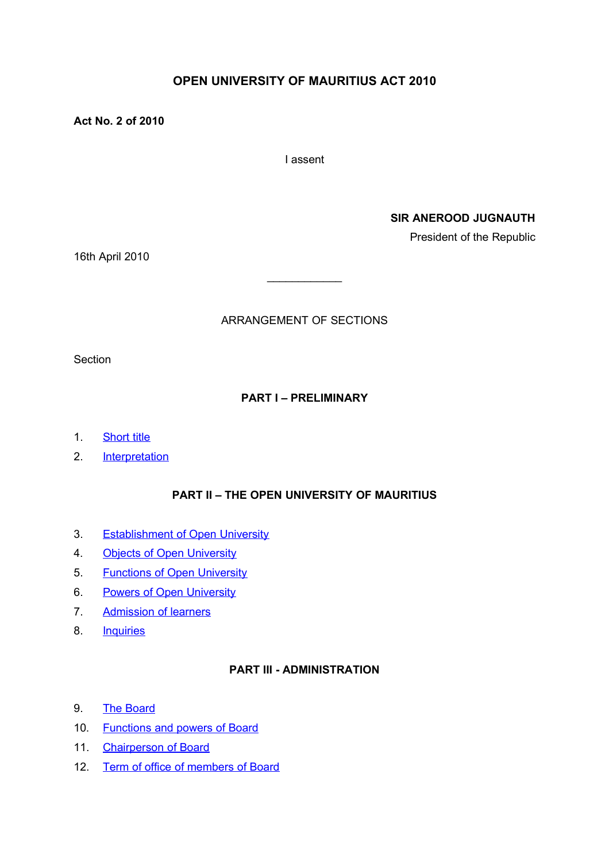# **OPEN UNIVERSITY OF MAURITIUS ACT 2010**

**Act No. 2 of 2010**

I assent

**SIR ANEROOD JUGNAUTH**

President of the Republic

16th April 2010

## ARRANGEMENT OF SECTIONS

 $\mathcal{L}_\text{max}$  , where  $\mathcal{L}_\text{max}$ 

**Section** 

## **PART I – PRELIMINARY**

- 1. [Short title](#page-2-1)
- 2. [Interpretation](#page-2-0)

## **PART II – THE OPEN UNIVERSITY OF MAURITIUS**

- 3. [Establishment of Open University](#page-3-0)
- 4. [Objects of Open University](#page-4-1)
- 5. [Functions of Open University](#page-4-0)
- 6. [Powers of Open University](#page-6-0)
- 7. [Admission of learners](#page-7-0)
- 8. [Inquiries](#page-15-0)

## **PART III - ADMINISTRATION**

- 9. [The Board](#page-9-1)
- 10. [Functions and powers of Board](#page-9-0)
- 11. [Chairperson of Board](#page-10-0)
- 12. [Term of office of members of Board](#page-11-0)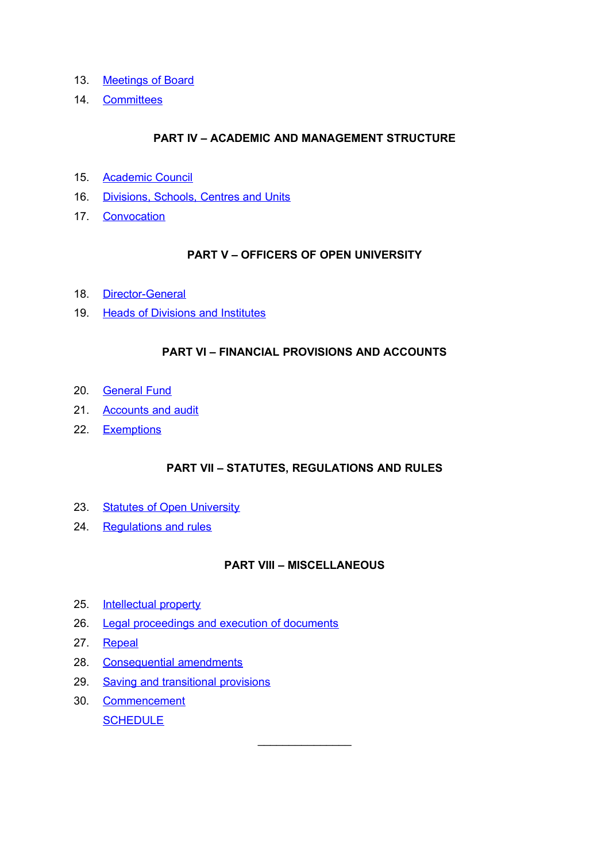- 13. [Meetings of Board](#page-11-2)
- 14. [Committees](#page-11-1)

## **PART IV – ACADEMIC AND MANAGEMENT STRUCTURE**

- 15. [Academic Council](#page-12-1)
- 16. [Divisions, Schools, Centres and Units](#page-12-0)
- 17. [Convocation](#page-13-2)

## **PART V – OFFICERS OF OPEN UNIVERSITY**

- 18. [Director-General](#page-13-1)
- 19. [Heads of Divisions and Institutes](#page-13-0)

## **PART VI – FINANCIAL PROVISIONS AND ACCOUNTS**

- 20. [General Fund](#page-14-0)
- 21. [Accounts and audit](#page-15-0)
- 22. [Exemptions](#page-15-1)

## **PART VII – STATUTES, REGULATIONS AND RULES**

- 23. [Statutes of Open University](#page-16-0)
- 24. [Regulations and rules](#page-17-0)

### **PART VIII – MISCELLANEOUS**

 $\mathcal{L}_\text{max}$  , where  $\mathcal{L}_\text{max}$ 

- 25. [Intellectual property](#page-18-2)
- 26. [Legal proceedings and execution of documents](#page-18-1)
- 27. [Repeal](#page-18-0)
- 28. [Consequential amendments](#page-19-0)
- 29. [Saving and transitional provisions](#page-20-0)
- 30. [Commencement](#page-22-0) **[SCHEDULE](#page-23-0)**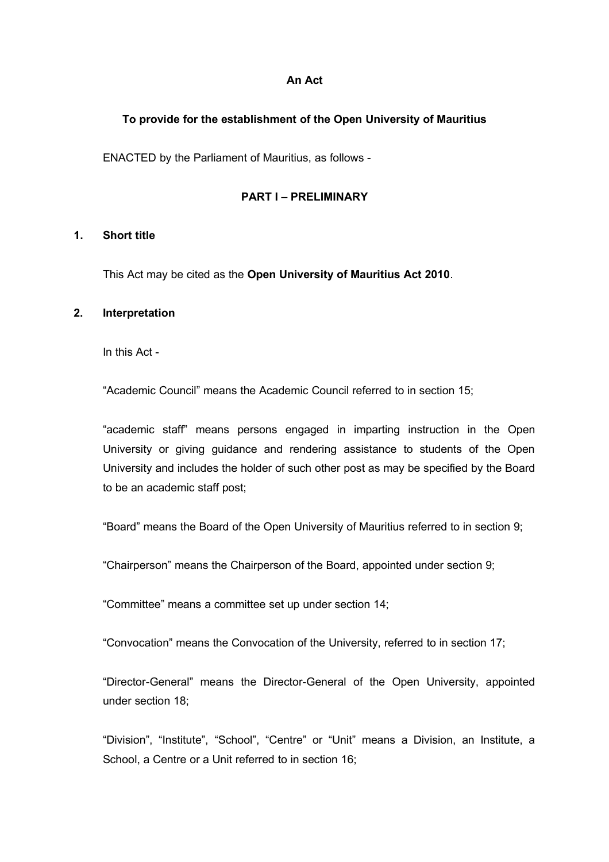#### **An Act**

### **To provide for the establishment of the Open University of Mauritius**

ENACTED by the Parliament of Mauritius, as follows -

#### **PART I – PRELIMINARY**

#### <span id="page-2-1"></span>**1. Short title**

This Act may be cited as the **Open University of Mauritius Act 2010**.

#### <span id="page-2-0"></span>**2. Interpretation**

In this Act -

"Academic Council" means the Academic Council referred to in section 15;

"academic staff" means persons engaged in imparting instruction in the Open University or giving guidance and rendering assistance to students of the Open University and includes the holder of such other post as may be specified by the Board to be an academic staff post;

"Board" means the Board of the Open University of Mauritius referred to in section 9;

"Chairperson" means the Chairperson of the Board, appointed under section 9;

"Committee" means a committee set up under section 14;

"Convocation" means the Convocation of the University, referred to in section 17;

"Director-General" means the Director-General of the Open University, appointed under section 18;

"Division", "Institute", "School", "Centre" or "Unit" means a Division, an Institute, a School, a Centre or a Unit referred to in section 16;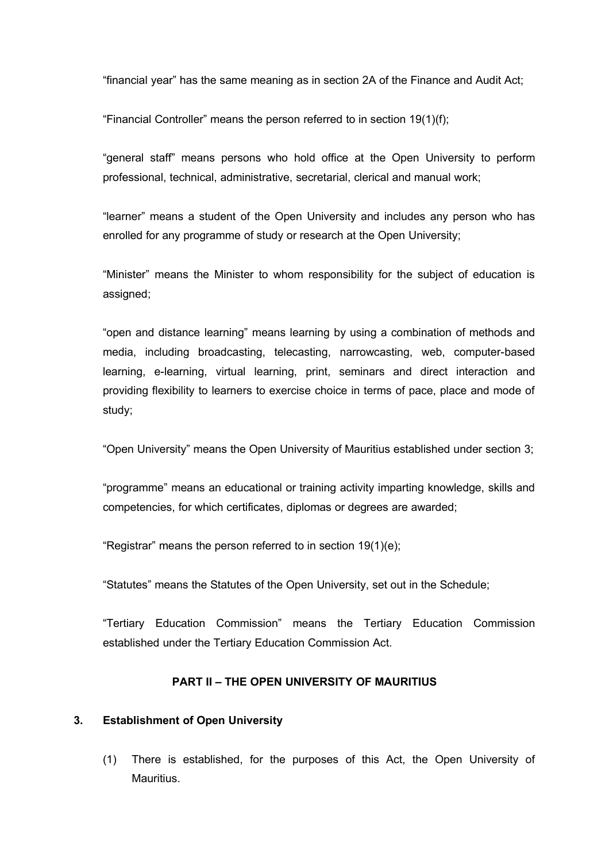"financial year" has the same meaning as in section 2A of the Finance and Audit Act;

"Financial Controller" means the person referred to in section 19(1)(f);

"general staff" means persons who hold office at the Open University to perform professional, technical, administrative, secretarial, clerical and manual work;

"learner" means a student of the Open University and includes any person who has enrolled for any programme of study or research at the Open University;

"Minister" means the Minister to whom responsibility for the subject of education is assigned;

"open and distance learning" means learning by using a combination of methods and media, including broadcasting, telecasting, narrowcasting, web, computer-based learning, e-learning, virtual learning, print, seminars and direct interaction and providing flexibility to learners to exercise choice in terms of pace, place and mode of study;

"Open University" means the Open University of Mauritius established under section 3;

"programme" means an educational or training activity imparting knowledge, skills and competencies, for which certificates, diplomas or degrees are awarded;

"Registrar" means the person referred to in section 19(1)(e);

"Statutes" means the Statutes of the Open University, set out in the Schedule;

"Tertiary Education Commission" means the Tertiary Education Commission established under the Tertiary Education Commission Act.

## **PART II – THE OPEN UNIVERSITY OF MAURITIUS**

### <span id="page-3-0"></span>**3. Establishment of Open University**

(1) There is established, for the purposes of this Act, the Open University of Mauritius.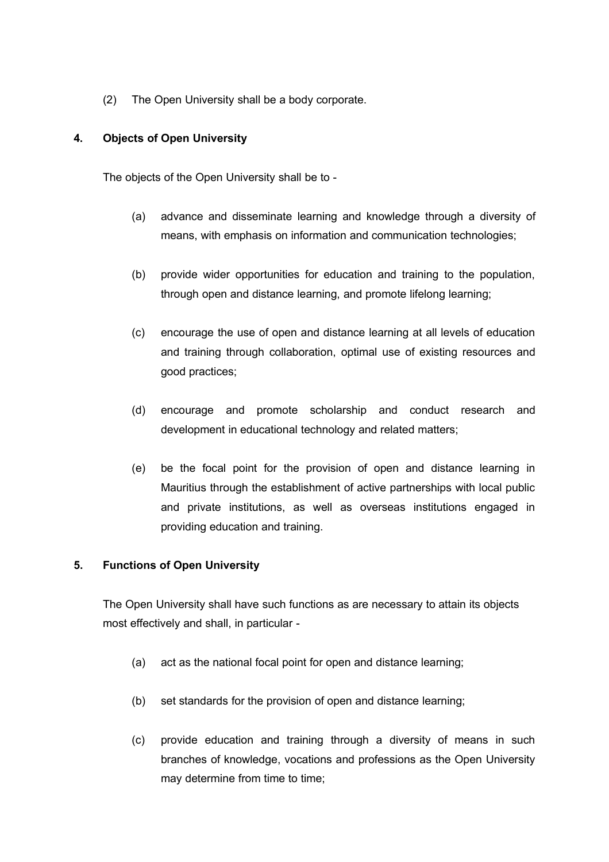(2) The Open University shall be a body corporate.

## <span id="page-4-1"></span>**4. Objects of Open University**

The objects of the Open University shall be to -

- (a) advance and disseminate learning and knowledge through a diversity of means, with emphasis on information and communication technologies;
- (b) provide wider opportunities for education and training to the population, through open and distance learning, and promote lifelong learning;
- (c) encourage the use of open and distance learning at all levels of education and training through collaboration, optimal use of existing resources and good practices;
- (d) encourage and promote scholarship and conduct research and development in educational technology and related matters;
- (e) be the focal point for the provision of open and distance learning in Mauritius through the establishment of active partnerships with local public and private institutions, as well as overseas institutions engaged in providing education and training.

### <span id="page-4-0"></span>**5. Functions of Open University**

The Open University shall have such functions as are necessary to attain its objects most effectively and shall, in particular -

- (a) act as the national focal point for open and distance learning;
- (b) set standards for the provision of open and distance learning;
- (c) provide education and training through a diversity of means in such branches of knowledge, vocations and professions as the Open University may determine from time to time;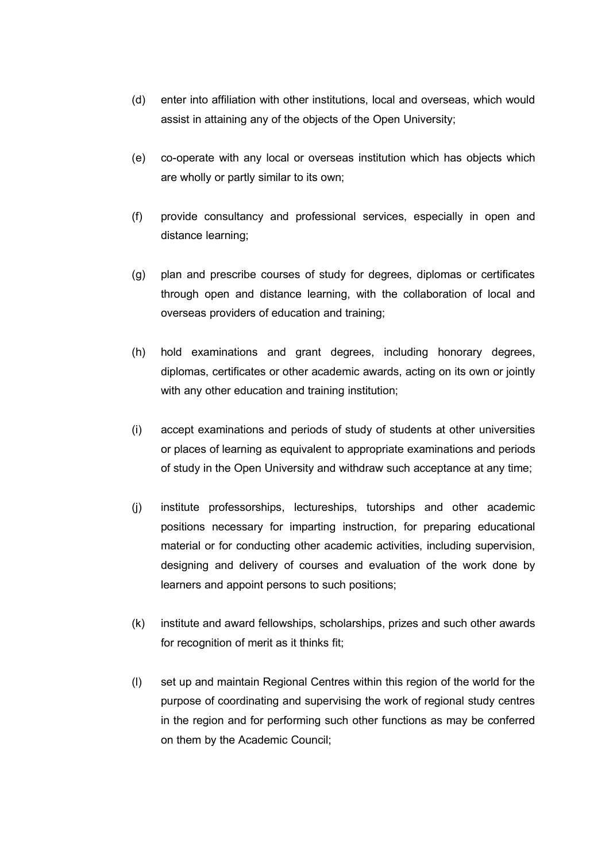- (d) enter into affiliation with other institutions, local and overseas, which would assist in attaining any of the objects of the Open University;
- (e) co-operate with any local or overseas institution which has objects which are wholly or partly similar to its own;
- (f) provide consultancy and professional services, especially in open and distance learning;
- (g) plan and prescribe courses of study for degrees, diplomas or certificates through open and distance learning, with the collaboration of local and overseas providers of education and training;
- (h) hold examinations and grant degrees, including honorary degrees, diplomas, certificates or other academic awards, acting on its own or jointly with any other education and training institution;
- (i) accept examinations and periods of study of students at other universities or places of learning as equivalent to appropriate examinations and periods of study in the Open University and withdraw such acceptance at any time;
- (j) institute professorships, lectureships, tutorships and other academic positions necessary for imparting instruction, for preparing educational material or for conducting other academic activities, including supervision, designing and delivery of courses and evaluation of the work done by learners and appoint persons to such positions;
- (k) institute and award fellowships, scholarships, prizes and such other awards for recognition of merit as it thinks fit;
- (l) set up and maintain Regional Centres within this region of the world for the purpose of coordinating and supervising the work of regional study centres in the region and for performing such other functions as may be conferred on them by the Academic Council;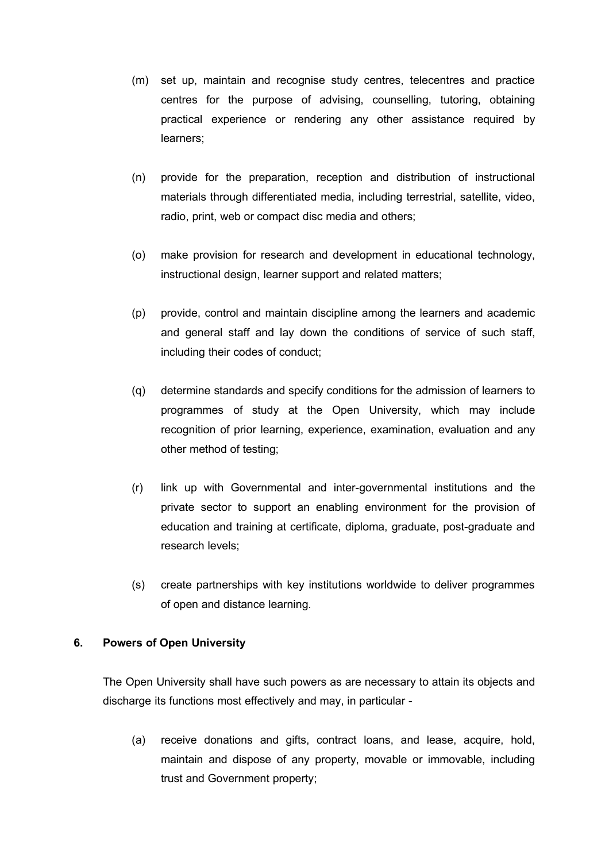- (m) set up, maintain and recognise study centres, telecentres and practice centres for the purpose of advising, counselling, tutoring, obtaining practical experience or rendering any other assistance required by learners;
- (n) provide for the preparation, reception and distribution of instructional materials through differentiated media, including terrestrial, satellite, video, radio, print, web or compact disc media and others;
- (o) make provision for research and development in educational technology, instructional design, learner support and related matters;
- (p) provide, control and maintain discipline among the learners and academic and general staff and lay down the conditions of service of such staff, including their codes of conduct;
- (q) determine standards and specify conditions for the admission of learners to programmes of study at the Open University, which may include recognition of prior learning, experience, examination, evaluation and any other method of testing;
- (r) link up with Governmental and inter-governmental institutions and the private sector to support an enabling environment for the provision of education and training at certificate, diploma, graduate, post-graduate and research levels;
- (s) create partnerships with key institutions worldwide to deliver programmes of open and distance learning.

### <span id="page-6-0"></span>**6. Powers of Open University**

The Open University shall have such powers as are necessary to attain its objects and discharge its functions most effectively and may, in particular -

(a) receive donations and gifts, contract loans, and lease, acquire, hold, maintain and dispose of any property, movable or immovable, including trust and Government property;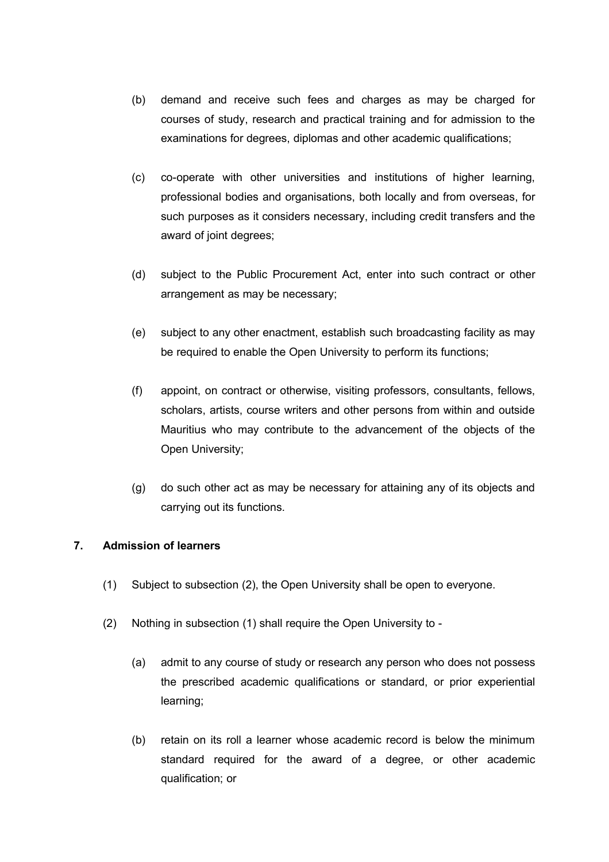- (b) demand and receive such fees and charges as may be charged for courses of study, research and practical training and for admission to the examinations for degrees, diplomas and other academic qualifications;
- (c) co-operate with other universities and institutions of higher learning, professional bodies and organisations, both locally and from overseas, for such purposes as it considers necessary, including credit transfers and the award of joint degrees;
- (d) subject to the Public Procurement Act, enter into such contract or other arrangement as may be necessary;
- (e) subject to any other enactment, establish such broadcasting facility as may be required to enable the Open University to perform its functions;
- (f) appoint, on contract or otherwise, visiting professors, consultants, fellows, scholars, artists, course writers and other persons from within and outside Mauritius who may contribute to the advancement of the objects of the Open University;
- (g) do such other act as may be necessary for attaining any of its objects and carrying out its functions.

## <span id="page-7-0"></span>**7. Admission of learners**

- (1) Subject to subsection (2), the Open University shall be open to everyone.
- (2) Nothing in subsection (1) shall require the Open University to
	- (a) admit to any course of study or research any person who does not possess the prescribed academic qualifications or standard, or prior experiential learning;
	- (b) retain on its roll a learner whose academic record is below the minimum standard required for the award of a degree, or other academic qualification; or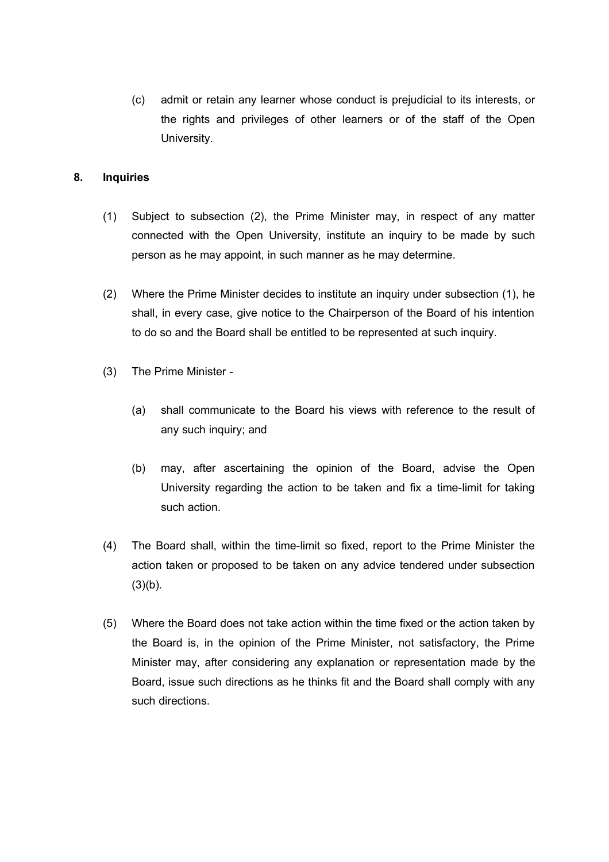(c) admit or retain any learner whose conduct is prejudicial to its interests, or the rights and privileges of other learners or of the staff of the Open University.

## **8. Inquiries**

- (1) Subject to subsection (2), the Prime Minister may, in respect of any matter connected with the Open University, institute an inquiry to be made by such person as he may appoint, in such manner as he may determine.
- (2) Where the Prime Minister decides to institute an inquiry under subsection (1), he shall, in every case, give notice to the Chairperson of the Board of his intention to do so and the Board shall be entitled to be represented at such inquiry.
- (3) The Prime Minister
	- (a) shall communicate to the Board his views with reference to the result of any such inquiry; and
	- (b) may, after ascertaining the opinion of the Board, advise the Open University regarding the action to be taken and fix a time-limit for taking such action.
- (4) The Board shall, within the time-limit so fixed, report to the Prime Minister the action taken or proposed to be taken on any advice tendered under subsection  $(3)(b)$ .
- (5) Where the Board does not take action within the time fixed or the action taken by the Board is, in the opinion of the Prime Minister, not satisfactory, the Prime Minister may, after considering any explanation or representation made by the Board, issue such directions as he thinks fit and the Board shall comply with any such directions.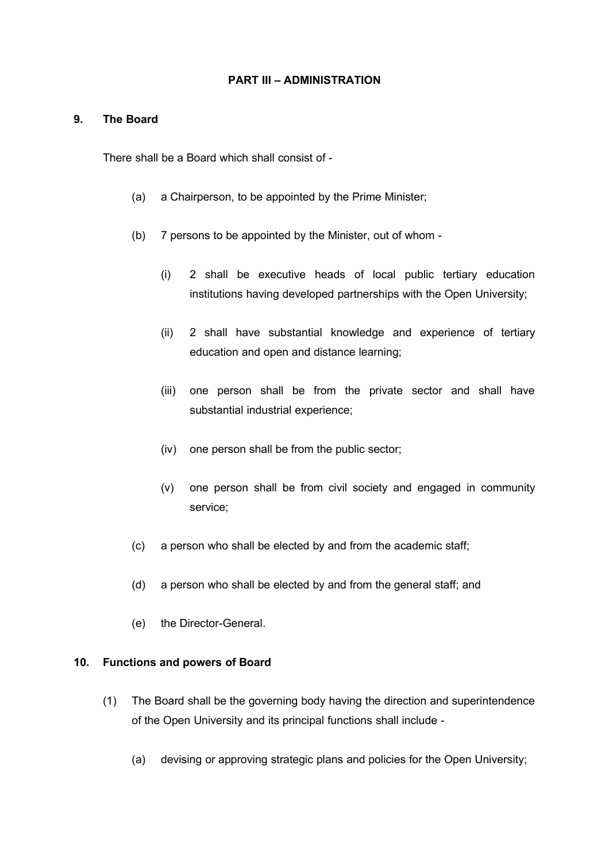#### **PART III – ADMINISTRATION**

#### <span id="page-9-1"></span>**9. The Board**

There shall be a Board which shall consist of -

- (a) a Chairperson, to be appointed by the Prime Minister;
- (b) 7 persons to be appointed by the Minister, out of whom
	- (i) 2 shall be executive heads of local public tertiary education institutions having developed partnerships with the Open University;
	- (ii) 2 shall have substantial knowledge and experience of tertiary education and open and distance learning;
	- (iii) one person shall be from the private sector and shall have substantial industrial experience;
	- (iv) one person shall be from the public sector;
	- (v) one person shall be from civil society and engaged in community service;
- (c) a person who shall be elected by and from the academic staff;
- (d) a person who shall be elected by and from the general staff; and
- (e) the Director-General.

### <span id="page-9-0"></span>**10. Functions and powers of Board**

- (1) The Board shall be the governing body having the direction and superintendence of the Open University and its principal functions shall include -
	- (a) devising or approving strategic plans and policies for the Open University;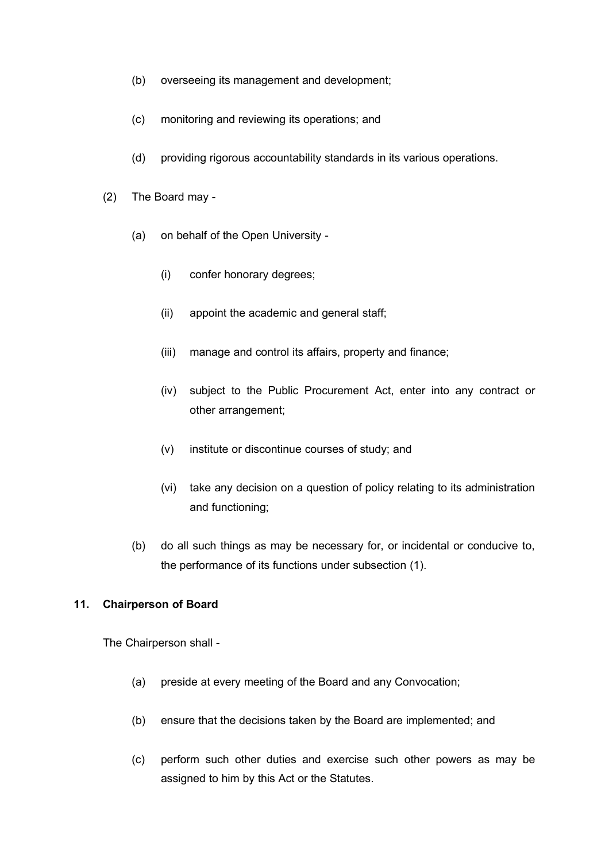- (b) overseeing its management and development;
- (c) monitoring and reviewing its operations; and
- (d) providing rigorous accountability standards in its various operations.
- (2) The Board may
	- (a) on behalf of the Open University
		- (i) confer honorary degrees;
		- (ii) appoint the academic and general staff;
		- (iii) manage and control its affairs, property and finance;
		- (iv) subject to the Public Procurement Act, enter into any contract or other arrangement;
		- (v) institute or discontinue courses of study; and
		- (vi) take any decision on a question of policy relating to its administration and functioning;
	- (b) do all such things as may be necessary for, or incidental or conducive to, the performance of its functions under subsection (1).

### <span id="page-10-0"></span>**11. Chairperson of Board**

The Chairperson shall -

- (a) preside at every meeting of the Board and any Convocation;
- (b) ensure that the decisions taken by the Board are implemented; and
- (c) perform such other duties and exercise such other powers as may be assigned to him by this Act or the Statutes.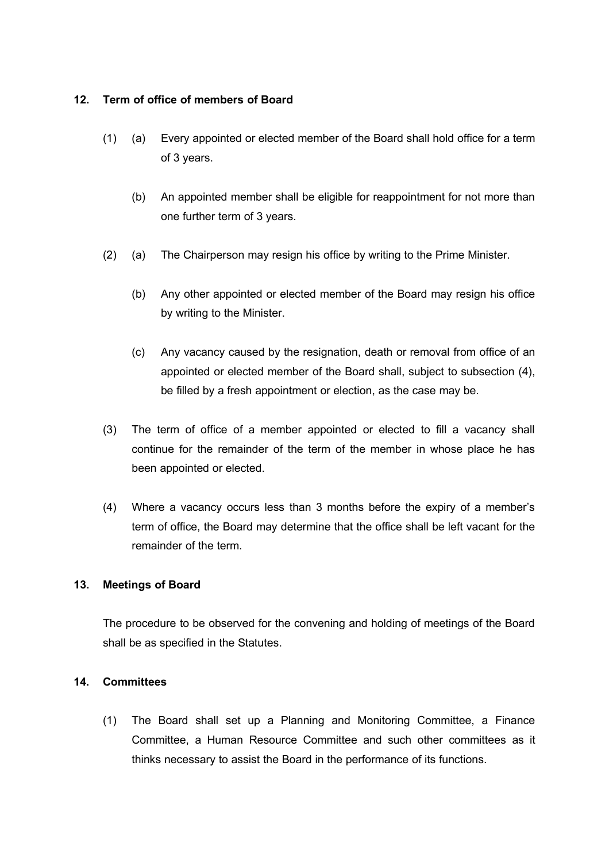### <span id="page-11-0"></span>**12. Term of office of members of Board**

- (1) (a) Every appointed or elected member of the Board shall hold office for a term of 3 years.
	- (b) An appointed member shall be eligible for reappointment for not more than one further term of 3 years.
- (2) (a) The Chairperson may resign his office by writing to the Prime Minister.
	- (b) Any other appointed or elected member of the Board may resign his office by writing to the Minister.
	- (c) Any vacancy caused by the resignation, death or removal from office of an appointed or elected member of the Board shall, subject to subsection (4), be filled by a fresh appointment or election, as the case may be.
- (3) The term of office of a member appointed or elected to fill a vacancy shall continue for the remainder of the term of the member in whose place he has been appointed or elected.
- (4) Where a vacancy occurs less than 3 months before the expiry of a member's term of office, the Board may determine that the office shall be left vacant for the remainder of the term.

### <span id="page-11-2"></span>**13. Meetings of Board**

The procedure to be observed for the convening and holding of meetings of the Board shall be as specified in the Statutes.

### <span id="page-11-1"></span>**14. Committees**

(1) The Board shall set up a Planning and Monitoring Committee, a Finance Committee, a Human Resource Committee and such other committees as it thinks necessary to assist the Board in the performance of its functions.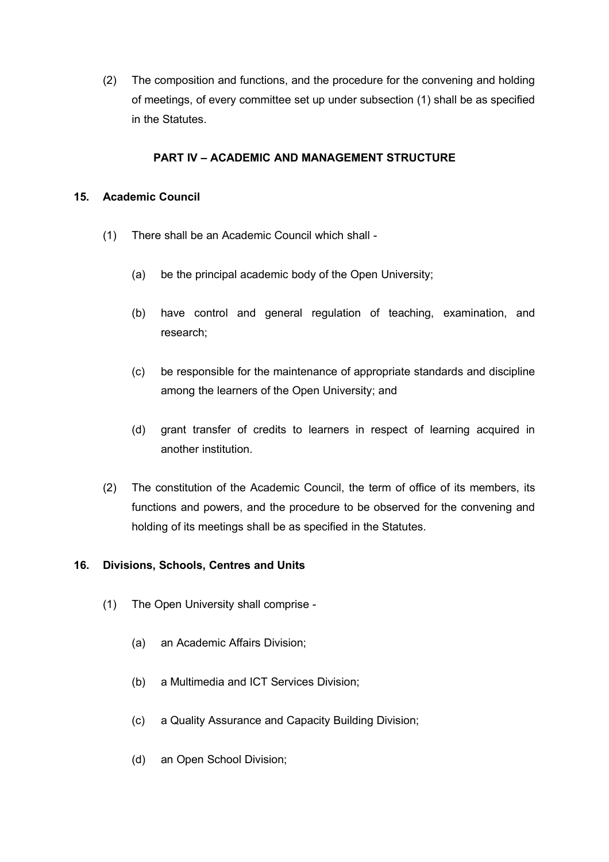(2) The composition and functions, and the procedure for the convening and holding of meetings, of every committee set up under subsection (1) shall be as specified in the Statutes.

## **PART IV – ACADEMIC AND MANAGEMENT STRUCTURE**

## <span id="page-12-1"></span>**15. Academic Council**

- (1) There shall be an Academic Council which shall
	- (a) be the principal academic body of the Open University;
	- (b) have control and general regulation of teaching, examination, and research;
	- (c) be responsible for the maintenance of appropriate standards and discipline among the learners of the Open University; and
	- (d) grant transfer of credits to learners in respect of learning acquired in another institution.
- (2) The constitution of the Academic Council, the term of office of its members, its functions and powers, and the procedure to be observed for the convening and holding of its meetings shall be as specified in the Statutes.

### <span id="page-12-0"></span>**16. Divisions, Schools, Centres and Units**

- (1) The Open University shall comprise
	- (a) an Academic Affairs Division;
	- (b) a Multimedia and ICT Services Division;
	- (c) a Quality Assurance and Capacity Building Division;
	- (d) an Open School Division;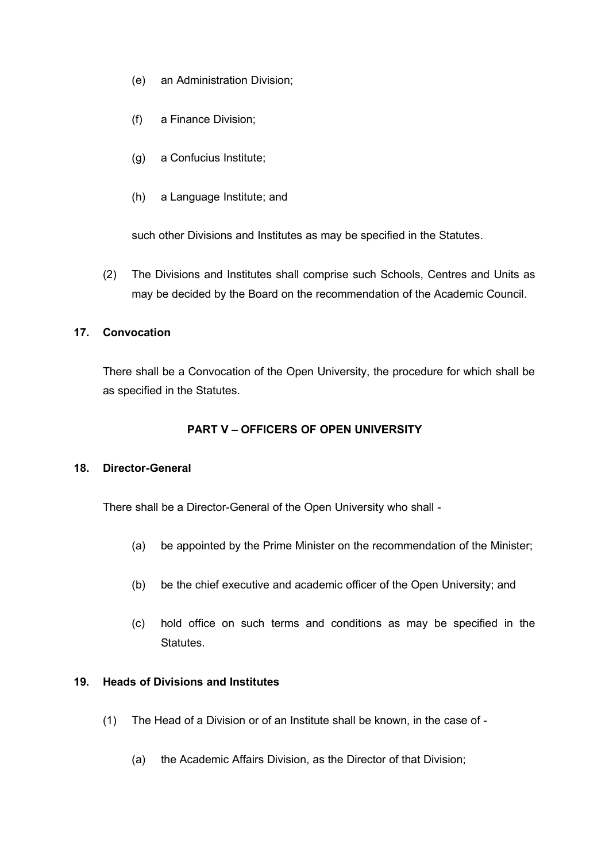- (e) an Administration Division;
- (f) a Finance Division;
- (g) a Confucius Institute;
- (h) a Language Institute; and

such other Divisions and Institutes as may be specified in the Statutes.

(2) The Divisions and Institutes shall comprise such Schools, Centres and Units as may be decided by the Board on the recommendation of the Academic Council.

## <span id="page-13-2"></span>**17. Convocation**

There shall be a Convocation of the Open University, the procedure for which shall be as specified in the Statutes.

## **PART V – OFFICERS OF OPEN UNIVERSITY**

### <span id="page-13-1"></span>**18. Director-General**

There shall be a Director-General of the Open University who shall -

- (a) be appointed by the Prime Minister on the recommendation of the Minister;
- (b) be the chief executive and academic officer of the Open University; and
- (c) hold office on such terms and conditions as may be specified in the Statutes.

## <span id="page-13-0"></span>**19. Heads of Divisions and Institutes**

- (1) The Head of a Division or of an Institute shall be known, in the case of
	- (a) the Academic Affairs Division, as the Director of that Division;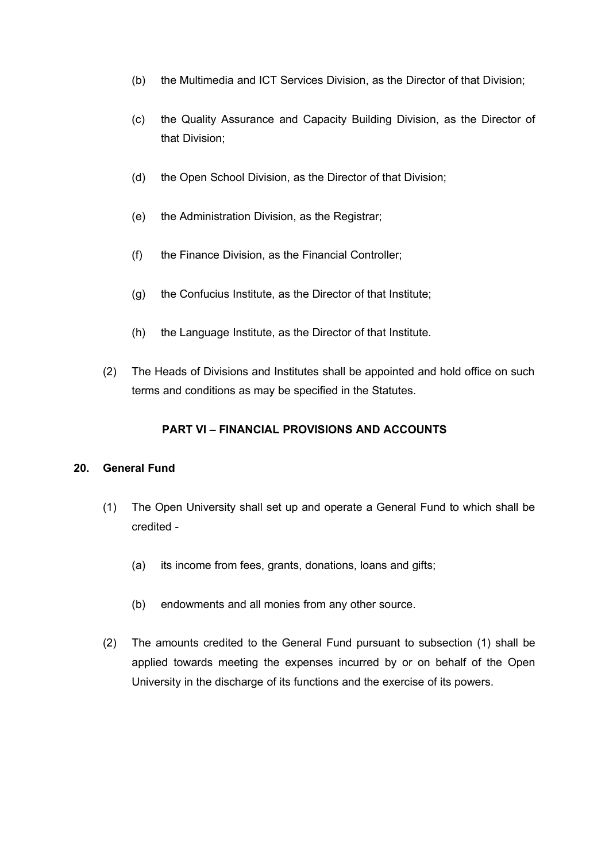- (b) the Multimedia and ICT Services Division, as the Director of that Division;
- (c) the Quality Assurance and Capacity Building Division, as the Director of that Division;
- (d) the Open School Division, as the Director of that Division;
- (e) the Administration Division, as the Registrar;
- (f) the Finance Division, as the Financial Controller;
- (g) the Confucius Institute, as the Director of that Institute;
- (h) the Language Institute, as the Director of that Institute.
- (2) The Heads of Divisions and Institutes shall be appointed and hold office on such terms and conditions as may be specified in the Statutes.

### **PART VI – FINANCIAL PROVISIONS AND ACCOUNTS**

### <span id="page-14-0"></span>**20. General Fund**

- (1) The Open University shall set up and operate a General Fund to which shall be credited -
	- (a) its income from fees, grants, donations, loans and gifts;
	- (b) endowments and all monies from any other source.
- (2) The amounts credited to the General Fund pursuant to subsection (1) shall be applied towards meeting the expenses incurred by or on behalf of the Open University in the discharge of its functions and the exercise of its powers.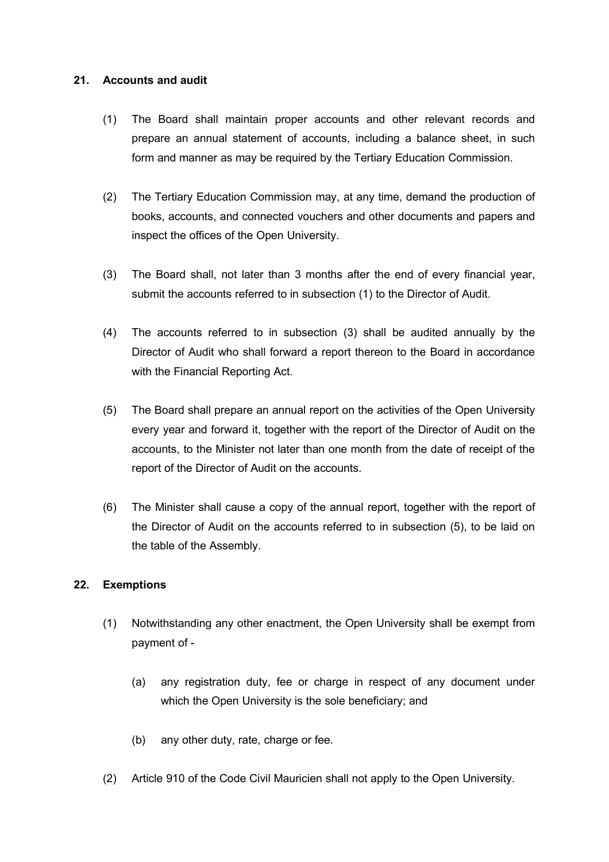#### <span id="page-15-0"></span>**21. Accounts and audit**

- (1) The Board shall maintain proper accounts and other relevant records and prepare an annual statement of accounts, including a balance sheet, in such form and manner as may be required by the Tertiary Education Commission.
- (2) The Tertiary Education Commission may, at any time, demand the production of books, accounts, and connected vouchers and other documents and papers and inspect the offices of the Open University.
- (3) The Board shall, not later than 3 months after the end of every financial year, submit the accounts referred to in subsection (1) to the Director of Audit.
- (4) The accounts referred to in subsection (3) shall be audited annually by the Director of Audit who shall forward a report thereon to the Board in accordance with the Financial Reporting Act.
- (5) The Board shall prepare an annual report on the activities of the Open University every year and forward it, together with the report of the Director of Audit on the accounts, to the Minister not later than one month from the date of receipt of the report of the Director of Audit on the accounts.
- (6) The Minister shall cause a copy of the annual report, together with the report of the Director of Audit on the accounts referred to in subsection (5), to be laid on the table of the Assembly.

### <span id="page-15-1"></span>**22. Exemptions**

- (1) Notwithstanding any other enactment, the Open University shall be exempt from payment of -
	- (a) any registration duty, fee or charge in respect of any document under which the Open University is the sole beneficiary; and
	- (b) any other duty, rate, charge or fee.
- (2) Article 910 of the Code Civil Mauricien shall not apply to the Open University.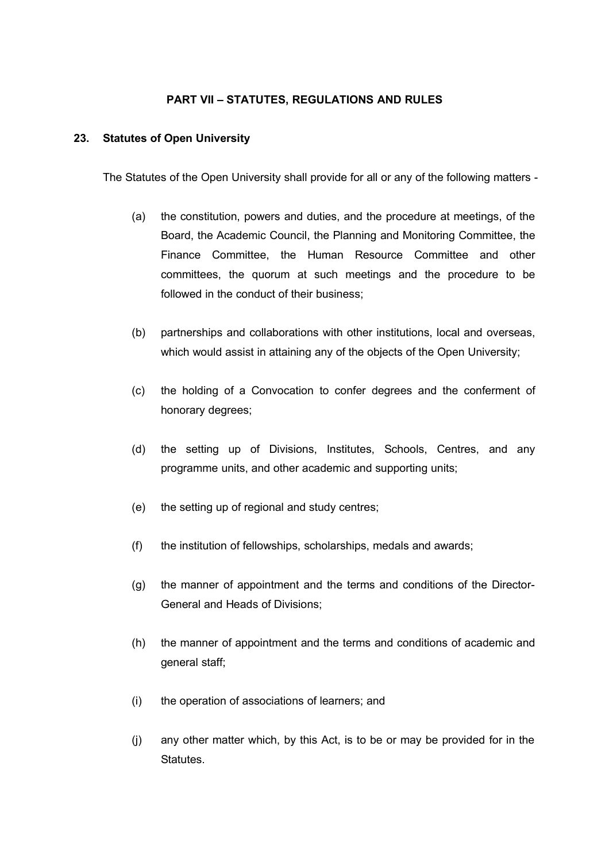## **PART VII – STATUTES, REGULATIONS AND RULES**

#### <span id="page-16-0"></span>**23. Statutes of Open University**

The Statutes of the Open University shall provide for all or any of the following matters -

- (a) the constitution, powers and duties, and the procedure at meetings, of the Board, the Academic Council, the Planning and Monitoring Committee, the Finance Committee, the Human Resource Committee and other committees, the quorum at such meetings and the procedure to be followed in the conduct of their business;
- (b) partnerships and collaborations with other institutions, local and overseas, which would assist in attaining any of the objects of the Open University;
- (c) the holding of a Convocation to confer degrees and the conferment of honorary degrees;
- (d) the setting up of Divisions, Institutes, Schools, Centres, and any programme units, and other academic and supporting units;
- (e) the setting up of regional and study centres;
- (f) the institution of fellowships, scholarships, medals and awards;
- (g) the manner of appointment and the terms and conditions of the Director-General and Heads of Divisions;
- (h) the manner of appointment and the terms and conditions of academic and general staff;
- (i) the operation of associations of learners; and
- (j) any other matter which, by this Act, is to be or may be provided for in the **Statutes**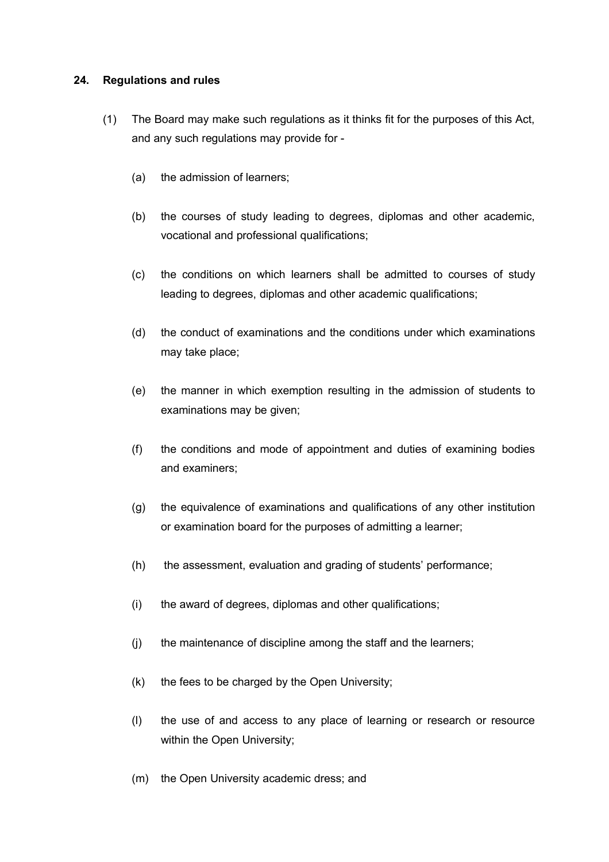#### <span id="page-17-0"></span>**24. Regulations and rules**

- (1) The Board may make such regulations as it thinks fit for the purposes of this Act, and any such regulations may provide for -
	- (a) the admission of learners;
	- (b) the courses of study leading to degrees, diplomas and other academic, vocational and professional qualifications;
	- (c) the conditions on which learners shall be admitted to courses of study leading to degrees, diplomas and other academic qualifications;
	- (d) the conduct of examinations and the conditions under which examinations may take place;
	- (e) the manner in which exemption resulting in the admission of students to examinations may be given;
	- (f) the conditions and mode of appointment and duties of examining bodies and examiners;
	- (g) the equivalence of examinations and qualifications of any other institution or examination board for the purposes of admitting a learner;
	- (h) the assessment, evaluation and grading of students' performance;
	- (i) the award of degrees, diplomas and other qualifications;
	- (j) the maintenance of discipline among the staff and the learners;
	- (k) the fees to be charged by the Open University;
	- (l) the use of and access to any place of learning or research or resource within the Open University;
	- (m) the Open University academic dress; and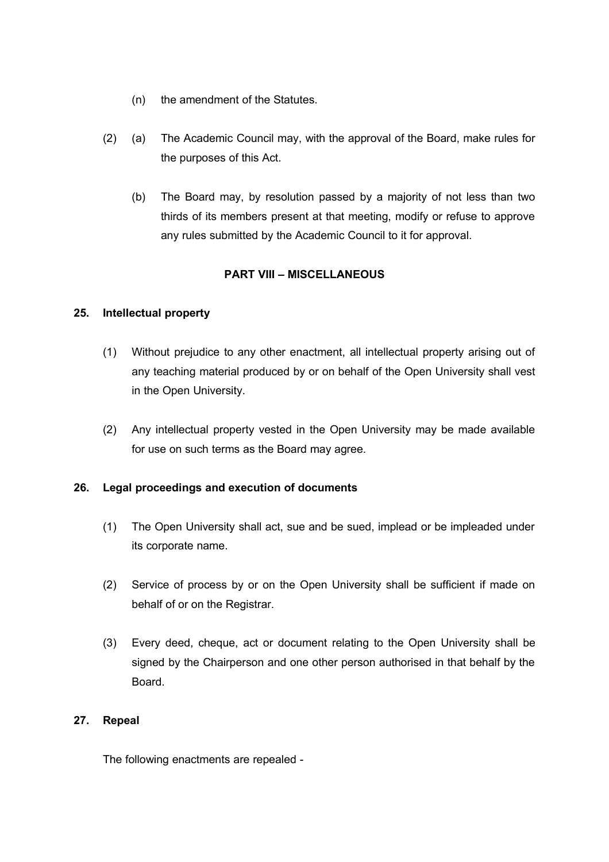- (n) the amendment of the Statutes.
- (2) (a) The Academic Council may, with the approval of the Board, make rules for the purposes of this Act.
	- (b) The Board may, by resolution passed by a majority of not less than two thirds of its members present at that meeting, modify or refuse to approve any rules submitted by the Academic Council to it for approval.

## **PART VIII – MISCELLANEOUS**

## <span id="page-18-2"></span>**25. Intellectual property**

- (1) Without prejudice to any other enactment, all intellectual property arising out of any teaching material produced by or on behalf of the Open University shall vest in the Open University.
- (2) Any intellectual property vested in the Open University may be made available for use on such terms as the Board may agree.

## <span id="page-18-1"></span>**26. Legal proceedings and execution of documents**

- (1) The Open University shall act, sue and be sued, implead or be impleaded under its corporate name.
- (2) Service of process by or on the Open University shall be sufficient if made on behalf of or on the Registrar.
- (3) Every deed, cheque, act or document relating to the Open University shall be signed by the Chairperson and one other person authorised in that behalf by the Board.

## <span id="page-18-0"></span>**27. Repeal**

The following enactments are repealed -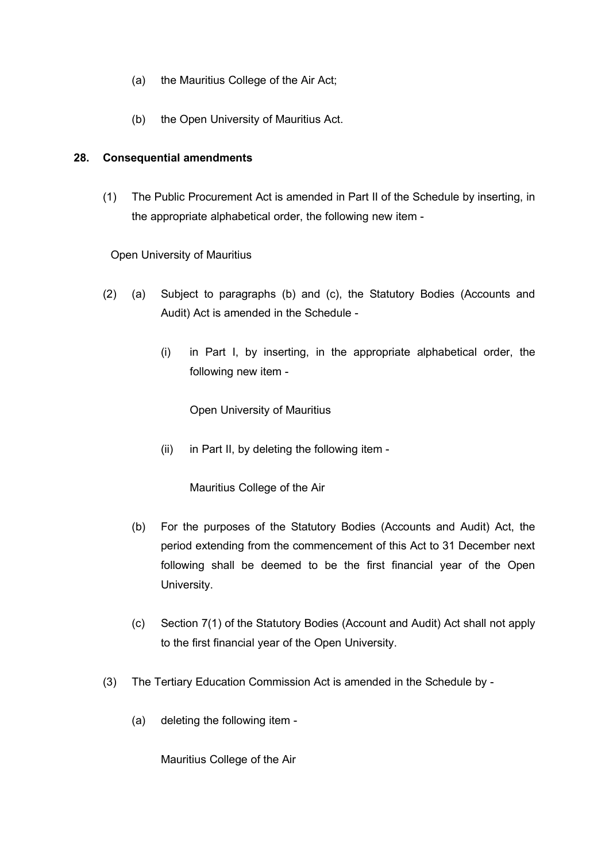- (a) the Mauritius College of the Air Act;
- (b) the Open University of Mauritius Act.

### <span id="page-19-0"></span>**28. Consequential amendments**

(1) The Public Procurement Act is amended in Part II of the Schedule by inserting, in the appropriate alphabetical order, the following new item -

## Open University of Mauritius

- (2) (a) Subject to paragraphs (b) and (c), the Statutory Bodies (Accounts and Audit) Act is amended in the Schedule -
	- (i) in Part I, by inserting, in the appropriate alphabetical order, the following new item -

Open University of Mauritius

(ii) in Part II, by deleting the following item -

Mauritius College of the Air

- (b) For the purposes of the Statutory Bodies (Accounts and Audit) Act, the period extending from the commencement of this Act to 31 December next following shall be deemed to be the first financial year of the Open University.
- (c) Section 7(1) of the Statutory Bodies (Account and Audit) Act shall not apply to the first financial year of the Open University.
- (3) The Tertiary Education Commission Act is amended in the Schedule by
	- (a) deleting the following item -

Mauritius College of the Air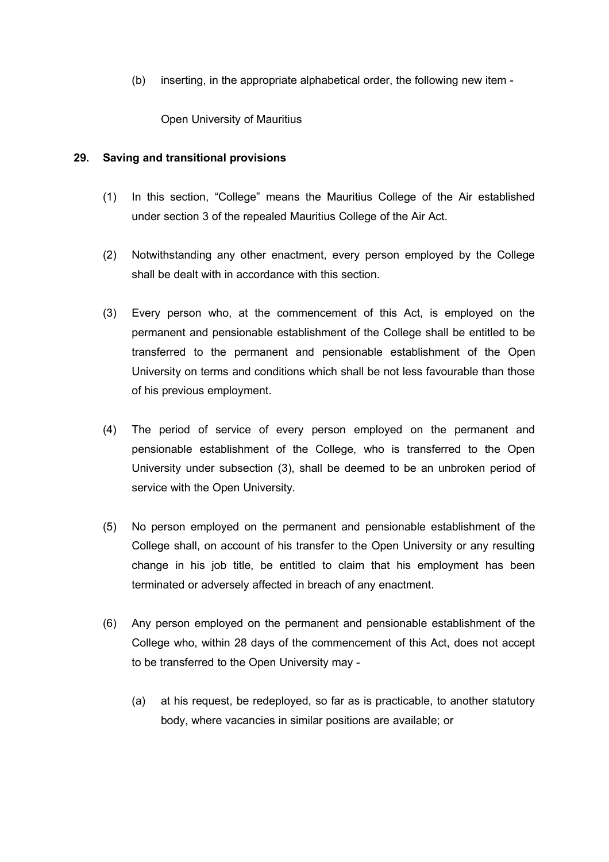(b) inserting, in the appropriate alphabetical order, the following new item -

Open University of Mauritius

#### <span id="page-20-0"></span>**29. Saving and transitional provisions**

- (1) In this section, "College" means the Mauritius College of the Air established under section 3 of the repealed Mauritius College of the Air Act.
- (2) Notwithstanding any other enactment, every person employed by the College shall be dealt with in accordance with this section.
- (3) Every person who, at the commencement of this Act, is employed on the permanent and pensionable establishment of the College shall be entitled to be transferred to the permanent and pensionable establishment of the Open University on terms and conditions which shall be not less favourable than those of his previous employment.
- (4) The period of service of every person employed on the permanent and pensionable establishment of the College, who is transferred to the Open University under subsection (3), shall be deemed to be an unbroken period of service with the Open University.
- (5) No person employed on the permanent and pensionable establishment of the College shall, on account of his transfer to the Open University or any resulting change in his job title, be entitled to claim that his employment has been terminated or adversely affected in breach of any enactment.
- (6) Any person employed on the permanent and pensionable establishment of the College who, within 28 days of the commencement of this Act, does not accept to be transferred to the Open University may -
	- (a) at his request, be redeployed, so far as is practicable, to another statutory body, where vacancies in similar positions are available; or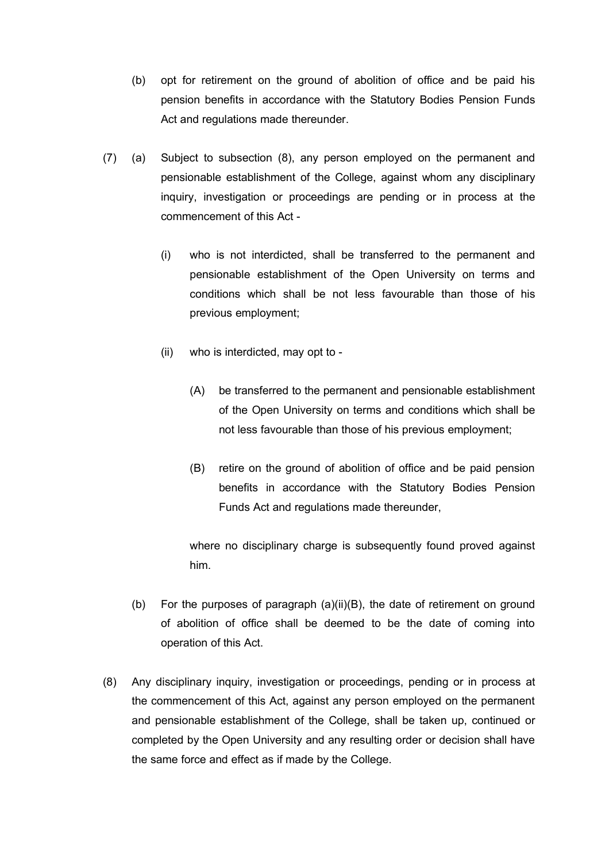- (b) opt for retirement on the ground of abolition of office and be paid his pension benefits in accordance with the Statutory Bodies Pension Funds Act and regulations made thereunder.
- (7) (a) Subject to subsection (8), any person employed on the permanent and pensionable establishment of the College, against whom any disciplinary inquiry, investigation or proceedings are pending or in process at the commencement of this Act -
	- (i) who is not interdicted, shall be transferred to the permanent and pensionable establishment of the Open University on terms and conditions which shall be not less favourable than those of his previous employment;
	- (ii) who is interdicted, may opt to
		- (A) be transferred to the permanent and pensionable establishment of the Open University on terms and conditions which shall be not less favourable than those of his previous employment;
		- (B) retire on the ground of abolition of office and be paid pension benefits in accordance with the Statutory Bodies Pension Funds Act and regulations made thereunder,

where no disciplinary charge is subsequently found proved against him.

- (b) For the purposes of paragraph (a)(ii)(B), the date of retirement on ground of abolition of office shall be deemed to be the date of coming into operation of this Act.
- (8) Any disciplinary inquiry, investigation or proceedings, pending or in process at the commencement of this Act, against any person employed on the permanent and pensionable establishment of the College, shall be taken up, continued or completed by the Open University and any resulting order or decision shall have the same force and effect as if made by the College.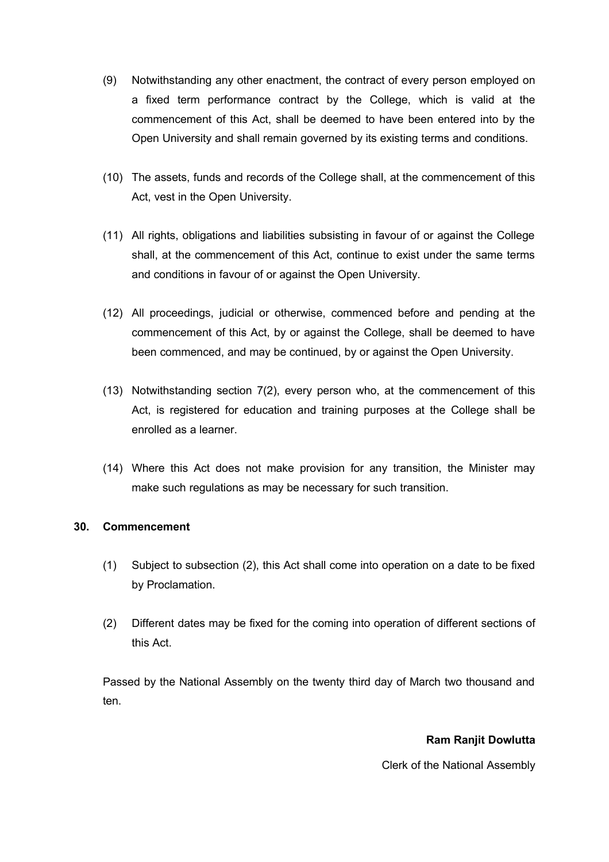- (9) Notwithstanding any other enactment, the contract of every person employed on a fixed term performance contract by the College, which is valid at the commencement of this Act, shall be deemed to have been entered into by the Open University and shall remain governed by its existing terms and conditions.
- (10) The assets, funds and records of the College shall, at the commencement of this Act, vest in the Open University.
- (11) All rights, obligations and liabilities subsisting in favour of or against the College shall, at the commencement of this Act, continue to exist under the same terms and conditions in favour of or against the Open University.
- (12) All proceedings, judicial or otherwise, commenced before and pending at the commencement of this Act, by or against the College, shall be deemed to have been commenced, and may be continued, by or against the Open University.
- (13) Notwithstanding section 7(2), every person who, at the commencement of this Act, is registered for education and training purposes at the College shall be enrolled as a learner.
- (14) Where this Act does not make provision for any transition, the Minister may make such regulations as may be necessary for such transition.

### <span id="page-22-0"></span>**30. Commencement**

- (1) Subject to subsection (2), this Act shall come into operation on a date to be fixed by Proclamation.
- (2) Different dates may be fixed for the coming into operation of different sections of this Act.

Passed by the National Assembly on the twenty third day of March two thousand and ten.

### **Ram Ranjit Dowlutta**

Clerk of the National Assembly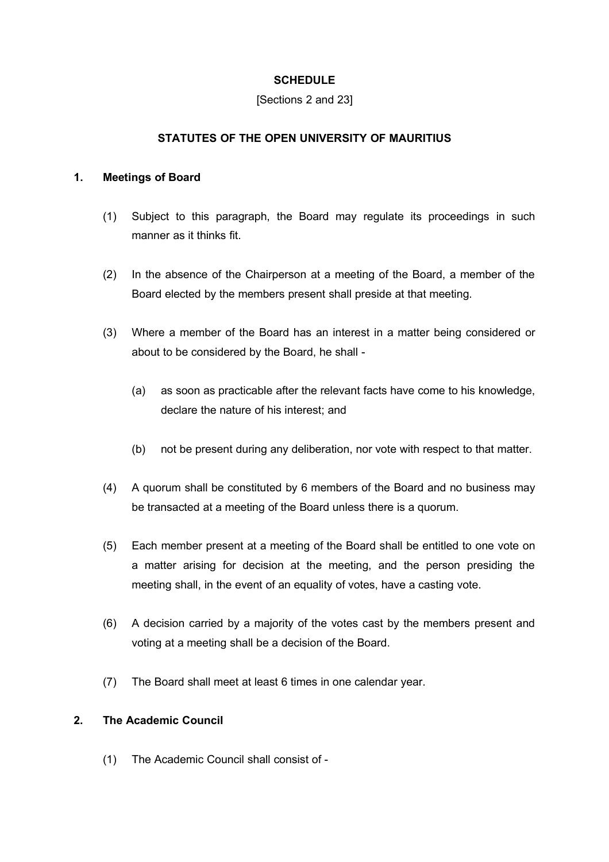## <span id="page-23-0"></span>**SCHEDULE**

#### [Sections 2 and 23]

## **STATUTES OF THE OPEN UNIVERSITY OF MAURITIUS**

### **1. Meetings of Board**

- (1) Subject to this paragraph, the Board may regulate its proceedings in such manner as it thinks fit.
- (2) In the absence of the Chairperson at a meeting of the Board, a member of the Board elected by the members present shall preside at that meeting.
- (3) Where a member of the Board has an interest in a matter being considered or about to be considered by the Board, he shall -
	- (a) as soon as practicable after the relevant facts have come to his knowledge, declare the nature of his interest; and
	- (b) not be present during any deliberation, nor vote with respect to that matter.
- (4) A quorum shall be constituted by 6 members of the Board and no business may be transacted at a meeting of the Board unless there is a quorum.
- (5) Each member present at a meeting of the Board shall be entitled to one vote on a matter arising for decision at the meeting, and the person presiding the meeting shall, in the event of an equality of votes, have a casting vote.
- (6) A decision carried by a majority of the votes cast by the members present and voting at a meeting shall be a decision of the Board.
- (7) The Board shall meet at least 6 times in one calendar year.

## **2. The Academic Council**

(1) The Academic Council shall consist of -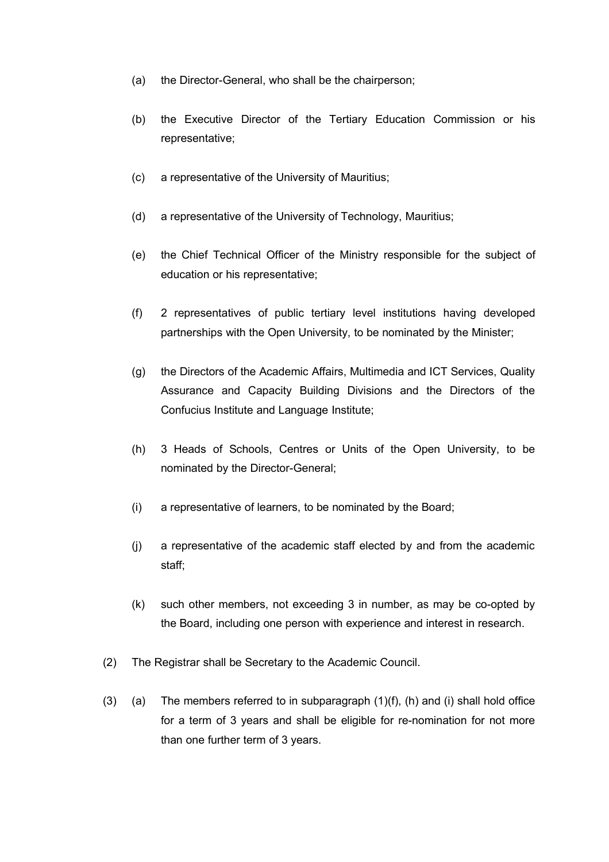- (a) the Director-General, who shall be the chairperson;
- (b) the Executive Director of the Tertiary Education Commission or his representative;
- (c) a representative of the University of Mauritius;
- (d) a representative of the University of Technology, Mauritius;
- (e) the Chief Technical Officer of the Ministry responsible for the subject of education or his representative;
- (f) 2 representatives of public tertiary level institutions having developed partnerships with the Open University, to be nominated by the Minister;
- (g) the Directors of the Academic Affairs, Multimedia and ICT Services, Quality Assurance and Capacity Building Divisions and the Directors of the Confucius Institute and Language Institute;
- (h) 3 Heads of Schools, Centres or Units of the Open University, to be nominated by the Director-General;
- (i) a representative of learners, to be nominated by the Board;
- (j) a representative of the academic staff elected by and from the academic staff;
- (k) such other members, not exceeding 3 in number, as may be co-opted by the Board, including one person with experience and interest in research.
- (2) The Registrar shall be Secretary to the Academic Council.
- (3) (a) The members referred to in subparagraph  $(1)(f)$ ,  $(h)$  and  $(i)$  shall hold office for a term of 3 years and shall be eligible for re-nomination for not more than one further term of 3 years.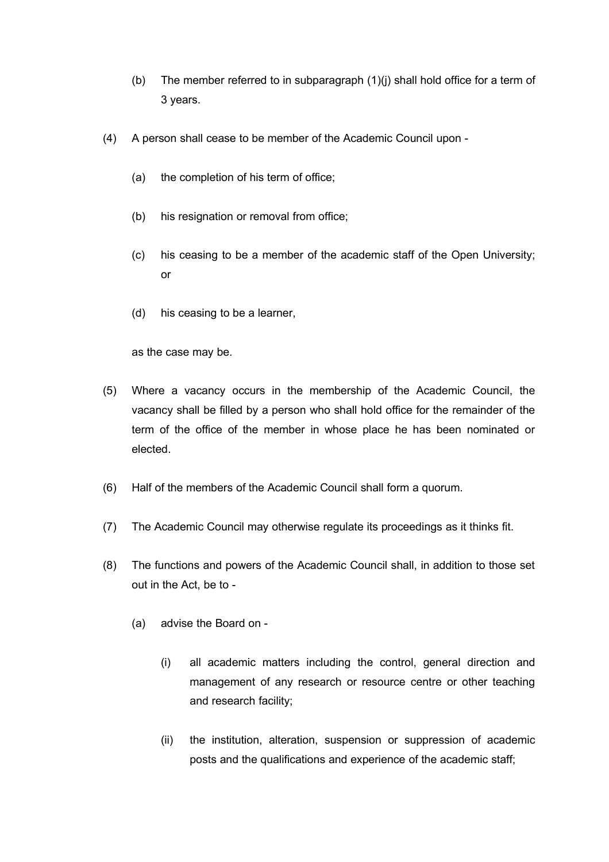- (b) The member referred to in subparagraph  $(1)(i)$  shall hold office for a term of 3 years.
- (4) A person shall cease to be member of the Academic Council upon
	- (a) the completion of his term of office;
	- (b) his resignation or removal from office;
	- (c) his ceasing to be a member of the academic staff of the Open University; or
	- (d) his ceasing to be a learner,

as the case may be.

- (5) Where a vacancy occurs in the membership of the Academic Council, the vacancy shall be filled by a person who shall hold office for the remainder of the term of the office of the member in whose place he has been nominated or elected.
- (6) Half of the members of the Academic Council shall form a quorum.
- (7) The Academic Council may otherwise regulate its proceedings as it thinks fit.
- (8) The functions and powers of the Academic Council shall, in addition to those set out in the Act, be to -
	- (a) advise the Board on
		- (i) all academic matters including the control, general direction and management of any research or resource centre or other teaching and research facility;
		- (ii) the institution, alteration, suspension or suppression of academic posts and the qualifications and experience of the academic staff;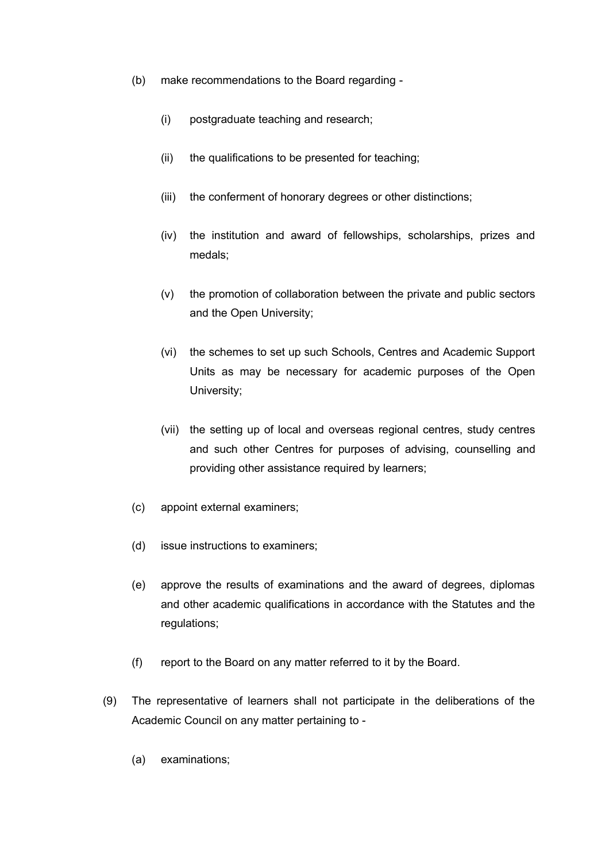- (b) make recommendations to the Board regarding
	- (i) postgraduate teaching and research;
	- (ii) the qualifications to be presented for teaching;
	- (iii) the conferment of honorary degrees or other distinctions;
	- (iv) the institution and award of fellowships, scholarships, prizes and medals;
	- (v) the promotion of collaboration between the private and public sectors and the Open University;
	- (vi) the schemes to set up such Schools, Centres and Academic Support Units as may be necessary for academic purposes of the Open University;
	- (vii) the setting up of local and overseas regional centres, study centres and such other Centres for purposes of advising, counselling and providing other assistance required by learners;
- (c) appoint external examiners;
- (d) issue instructions to examiners;
- (e) approve the results of examinations and the award of degrees, diplomas and other academic qualifications in accordance with the Statutes and the regulations:
- (f) report to the Board on any matter referred to it by the Board.
- (9) The representative of learners shall not participate in the deliberations of the Academic Council on any matter pertaining to -
	- (a) examinations;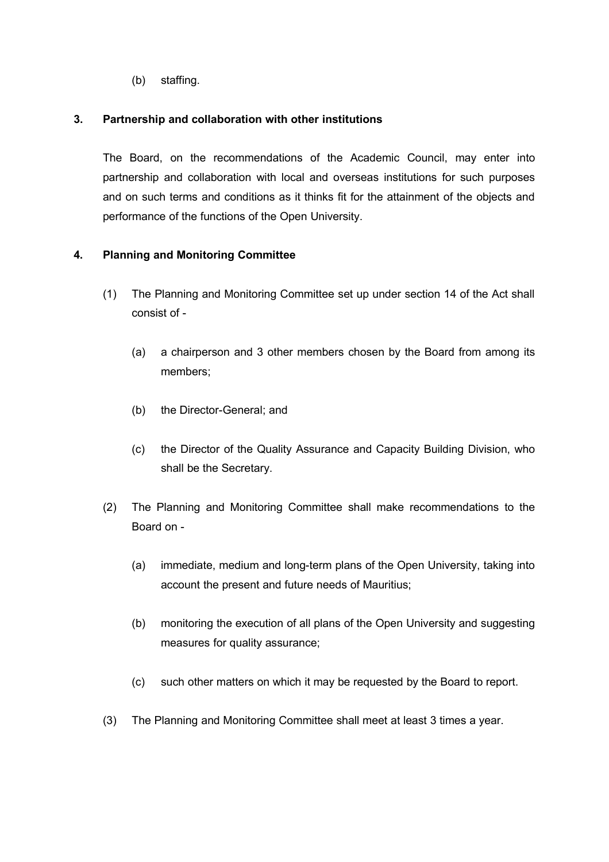(b) staffing.

### **3. Partnership and collaboration with other institutions**

The Board, on the recommendations of the Academic Council, may enter into partnership and collaboration with local and overseas institutions for such purposes and on such terms and conditions as it thinks fit for the attainment of the objects and performance of the functions of the Open University.

## **4. Planning and Monitoring Committee**

- (1) The Planning and Monitoring Committee set up under section 14 of the Act shall consist of -
	- (a) a chairperson and 3 other members chosen by the Board from among its members;
	- (b) the Director-General; and
	- (c) the Director of the Quality Assurance and Capacity Building Division, who shall be the Secretary.
- (2) The Planning and Monitoring Committee shall make recommendations to the Board on -
	- (a) immediate, medium and long-term plans of the Open University, taking into account the present and future needs of Mauritius;
	- (b) monitoring the execution of all plans of the Open University and suggesting measures for quality assurance;
	- (c) such other matters on which it may be requested by the Board to report.
- (3) The Planning and Monitoring Committee shall meet at least 3 times a year.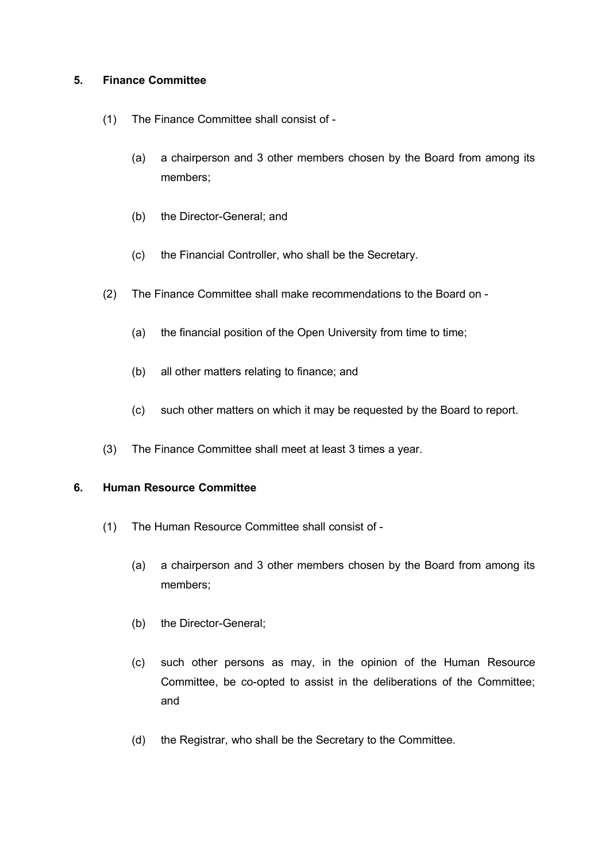### **5. Finance Committee**

- (1) The Finance Committee shall consist of
	- (a) a chairperson and 3 other members chosen by the Board from among its members;
	- (b) the Director-General; and
	- (c) the Financial Controller, who shall be the Secretary.
- (2) The Finance Committee shall make recommendations to the Board on
	- (a) the financial position of the Open University from time to time;
	- (b) all other matters relating to finance; and
	- (c) such other matters on which it may be requested by the Board to report.
- (3) The Finance Committee shall meet at least 3 times a year.

### **6. Human Resource Committee**

- (1) The Human Resource Committee shall consist of
	- (a) a chairperson and 3 other members chosen by the Board from among its members;
	- (b) the Director-General;
	- (c) such other persons as may, in the opinion of the Human Resource Committee, be co-opted to assist in the deliberations of the Committee; and
	- (d) the Registrar, who shall be the Secretary to the Committee.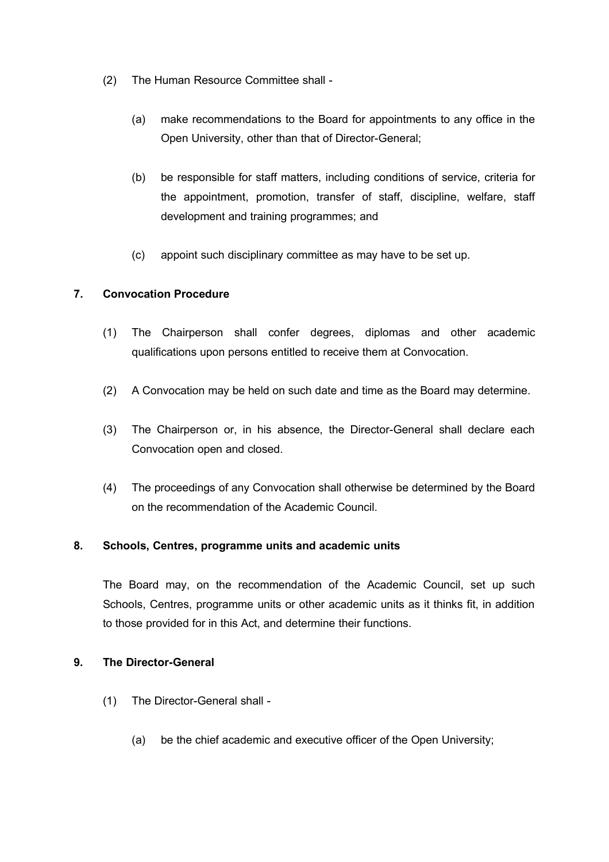- (2) The Human Resource Committee shall
	- (a) make recommendations to the Board for appointments to any office in the Open University, other than that of Director-General;
	- (b) be responsible for staff matters, including conditions of service, criteria for the appointment, promotion, transfer of staff, discipline, welfare, staff development and training programmes; and
	- (c) appoint such disciplinary committee as may have to be set up.

## **7. Convocation Procedure**

- (1) The Chairperson shall confer degrees, diplomas and other academic qualifications upon persons entitled to receive them at Convocation.
- (2) A Convocation may be held on such date and time as the Board may determine.
- (3) The Chairperson or, in his absence, the Director-General shall declare each Convocation open and closed.
- (4) The proceedings of any Convocation shall otherwise be determined by the Board on the recommendation of the Academic Council.

## **8. Schools, Centres, programme units and academic units**

The Board may, on the recommendation of the Academic Council, set up such Schools, Centres, programme units or other academic units as it thinks fit, in addition to those provided for in this Act, and determine their functions.

### **9. The Director-General**

- (1) The Director-General shall
	- (a) be the chief academic and executive officer of the Open University;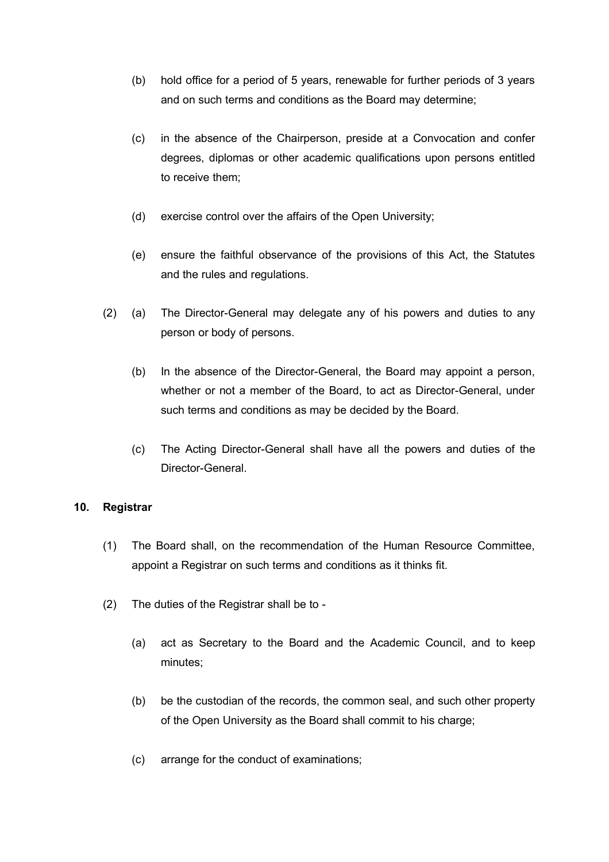- (b) hold office for a period of 5 years, renewable for further periods of 3 years and on such terms and conditions as the Board may determine;
- (c) in the absence of the Chairperson, preside at a Convocation and confer degrees, diplomas or other academic qualifications upon persons entitled to receive them;
- (d) exercise control over the affairs of the Open University;
- (e) ensure the faithful observance of the provisions of this Act, the Statutes and the rules and regulations.
- (2) (a) The Director-General may delegate any of his powers and duties to any person or body of persons.
	- (b) In the absence of the Director-General, the Board may appoint a person, whether or not a member of the Board, to act as Director-General, under such terms and conditions as may be decided by the Board.
	- (c) The Acting Director-General shall have all the powers and duties of the Director-General.

## **10. Registrar**

- (1) The Board shall, on the recommendation of the Human Resource Committee, appoint a Registrar on such terms and conditions as it thinks fit.
- (2) The duties of the Registrar shall be to
	- (a) act as Secretary to the Board and the Academic Council, and to keep minutes;
	- (b) be the custodian of the records, the common seal, and such other property of the Open University as the Board shall commit to his charge;
	- (c) arrange for the conduct of examinations;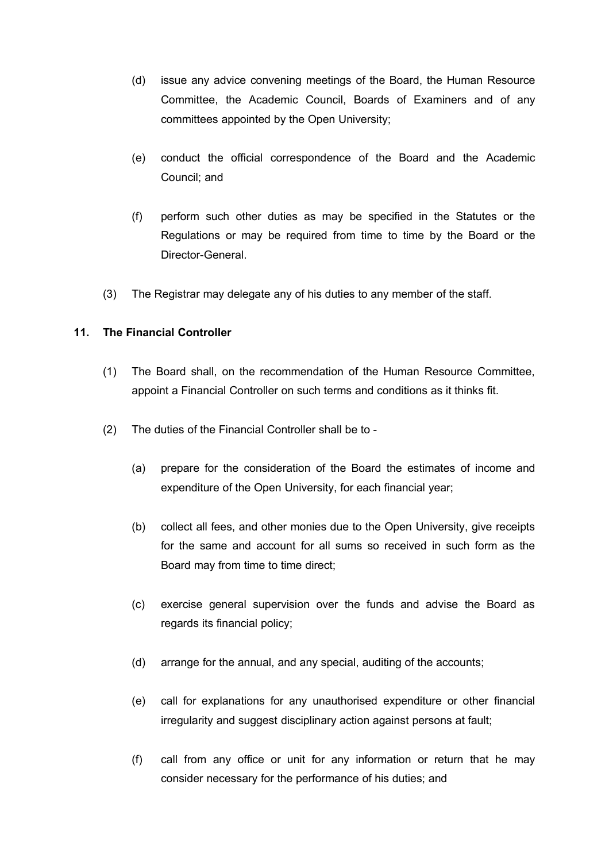- (d) issue any advice convening meetings of the Board, the Human Resource Committee, the Academic Council, Boards of Examiners and of any committees appointed by the Open University;
- (e) conduct the official correspondence of the Board and the Academic Council; and
- (f) perform such other duties as may be specified in the Statutes or the Regulations or may be required from time to time by the Board or the Director-General.
- (3) The Registrar may delegate any of his duties to any member of the staff.

## **11. The Financial Controller**

- (1) The Board shall, on the recommendation of the Human Resource Committee, appoint a Financial Controller on such terms and conditions as it thinks fit.
- (2) The duties of the Financial Controller shall be to
	- (a) prepare for the consideration of the Board the estimates of income and expenditure of the Open University, for each financial year;
	- (b) collect all fees, and other monies due to the Open University, give receipts for the same and account for all sums so received in such form as the Board may from time to time direct;
	- (c) exercise general supervision over the funds and advise the Board as regards its financial policy;
	- (d) arrange for the annual, and any special, auditing of the accounts;
	- (e) call for explanations for any unauthorised expenditure or other financial irregularity and suggest disciplinary action against persons at fault;
	- (f) call from any office or unit for any information or return that he may consider necessary for the performance of his duties; and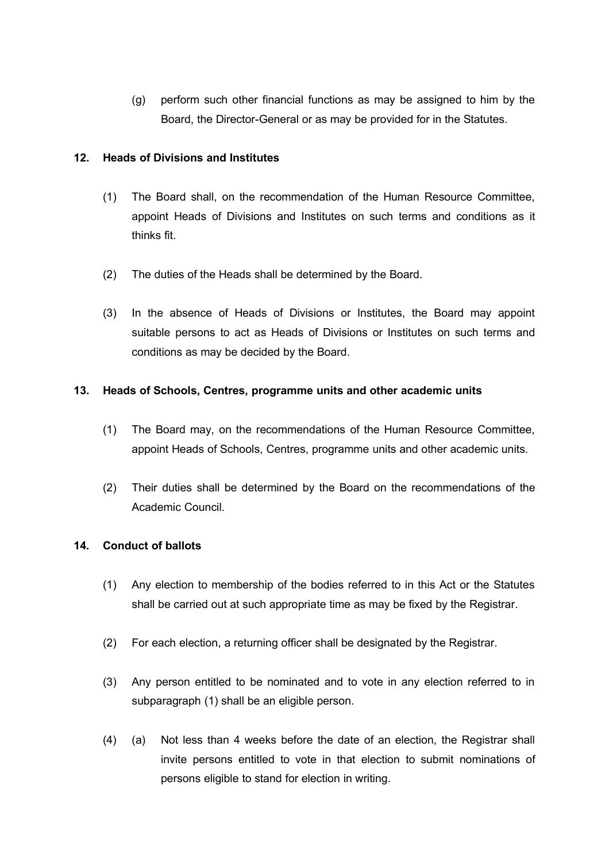(g) perform such other financial functions as may be assigned to him by the Board, the Director-General or as may be provided for in the Statutes.

## **12. Heads of Divisions and Institutes**

- (1) The Board shall, on the recommendation of the Human Resource Committee, appoint Heads of Divisions and Institutes on such terms and conditions as it thinks fit.
- (2) The duties of the Heads shall be determined by the Board.
- (3) In the absence of Heads of Divisions or Institutes, the Board may appoint suitable persons to act as Heads of Divisions or Institutes on such terms and conditions as may be decided by the Board.

## **13. Heads of Schools, Centres, programme units and other academic units**

- (1) The Board may, on the recommendations of the Human Resource Committee, appoint Heads of Schools, Centres, programme units and other academic units.
- (2) Their duties shall be determined by the Board on the recommendations of the Academic Council.

## **14. Conduct of ballots**

- (1) Any election to membership of the bodies referred to in this Act or the Statutes shall be carried out at such appropriate time as may be fixed by the Registrar.
- (2) For each election, a returning officer shall be designated by the Registrar.
- (3) Any person entitled to be nominated and to vote in any election referred to in subparagraph (1) shall be an eligible person.
- (4) (a) Not less than 4 weeks before the date of an election, the Registrar shall invite persons entitled to vote in that election to submit nominations of persons eligible to stand for election in writing.